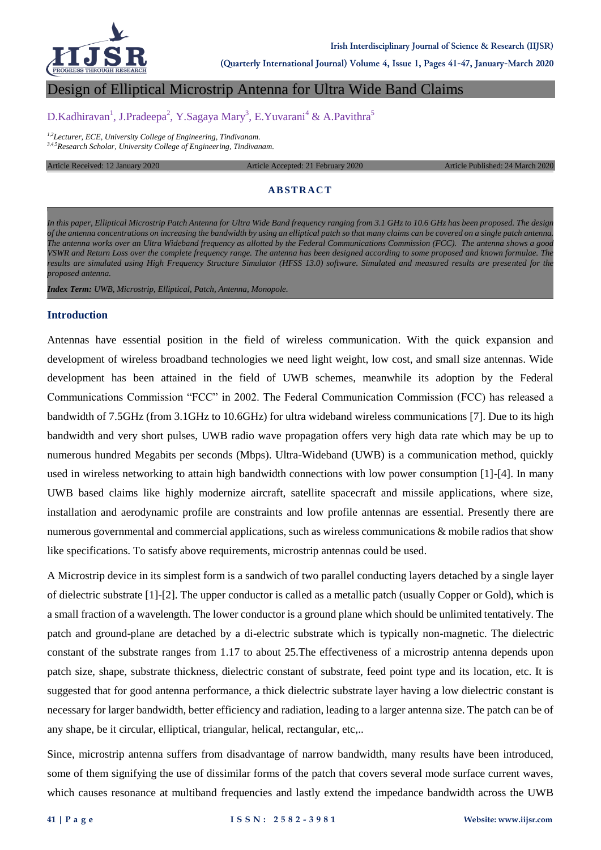

**(Quarterly International Journal) Volume 4, Issue 1, Pages 41-47, January-March 2020**

# Design of Elliptical Microstrip Antenna for Ultra Wide Band Claims

# D.Kadhiravan<sup>1</sup>, J.Pradeepa<sup>2</sup>, Y.Sagaya Mary<sup>3</sup>, E.Yuvarani<sup>4</sup> & A.Pavithra<sup>5</sup>

*1,2Lecturer, ECE, University College of Engineering, Tindivanam. 3,4,5Research Scholar, University College of Engineering, Tindivanam.*

#### Article Received: 12 January 2020 **Article Accepted: 21 February 2020** Article Published: 24 March 2020

#### **ABSTRACT**

*In this paper, Elliptical Microstrip Patch Antenna for Ultra Wide Band frequency ranging from 3.1 GHz to 10.6 GHz has been proposed. The design of the antenna concentrations on increasing the bandwidth by using an elliptical patch so that many claims can be covered on a single patch antenna. The antenna works over an Ultra Wideband frequency as allotted by the Federal Communications Commission (FCC). The antenna shows a good VSWR and Return Loss over the complete frequency range. The antenna has been designed according to some proposed and known formulae. The results are simulated using High Frequency Structure Simulator (HFSS 13.0) software. Simulated and measured results are presented for the proposed antenna.*

*Index Term: UWB, Microstrip, Elliptical, Patch, Antenna, Monopole.*

#### **Introduction**

Antennas have essential position in the field of wireless communication. With the quick expansion and development of wireless broadband technologies we need light weight, low cost, and small size antennas. Wide development has been attained in the field of UWB schemes, meanwhile its adoption by the Federal Communications Commission "FCC" in 2002. The Federal Communication Commission (FCC) has released a bandwidth of 7.5GHz (from 3.1GHz to 10.6GHz) for ultra wideband wireless communications [7]. Due to its high bandwidth and very short pulses, UWB radio wave propagation offers very high data rate which may be up to numerous hundred Megabits per seconds (Mbps). Ultra-Wideband (UWB) is a communication method, quickly used in wireless networking to attain high bandwidth connections with low power consumption [1]-[4]. In many UWB based claims like highly modernize aircraft, satellite spacecraft and missile applications, where size, installation and aerodynamic profile are constraints and low profile antennas are essential. Presently there are numerous governmental and commercial applications, such as wireless communications & mobile radios that show like specifications. To satisfy above requirements, microstrip antennas could be used.

A Microstrip device in its simplest form is a sandwich of two parallel conducting layers detached by a single layer of dielectric substrate [1]-[2]. The upper conductor is called as a metallic patch (usually Copper or Gold), which is a small fraction of a wavelength. The lower conductor is a ground plane which should be unlimited tentatively. The patch and ground-plane are detached by a di-electric substrate which is typically non-magnetic. The dielectric constant of the substrate ranges from 1.17 to about 25.The effectiveness of a microstrip antenna depends upon patch size, shape, substrate thickness, dielectric constant of substrate, feed point type and its location, etc. It is suggested that for good antenna performance, a thick dielectric substrate layer having a low dielectric constant is necessary for larger bandwidth, better efficiency and radiation, leading to a larger antenna size. The patch can be of any shape, be it circular, elliptical, triangular, helical, rectangular, etc,..

Since, microstrip antenna suffers from disadvantage of narrow bandwidth, many results have been introduced, some of them signifying the use of dissimilar forms of the patch that covers several mode surface current waves, which causes resonance at multiband frequencies and lastly extend the impedance bandwidth across the UWB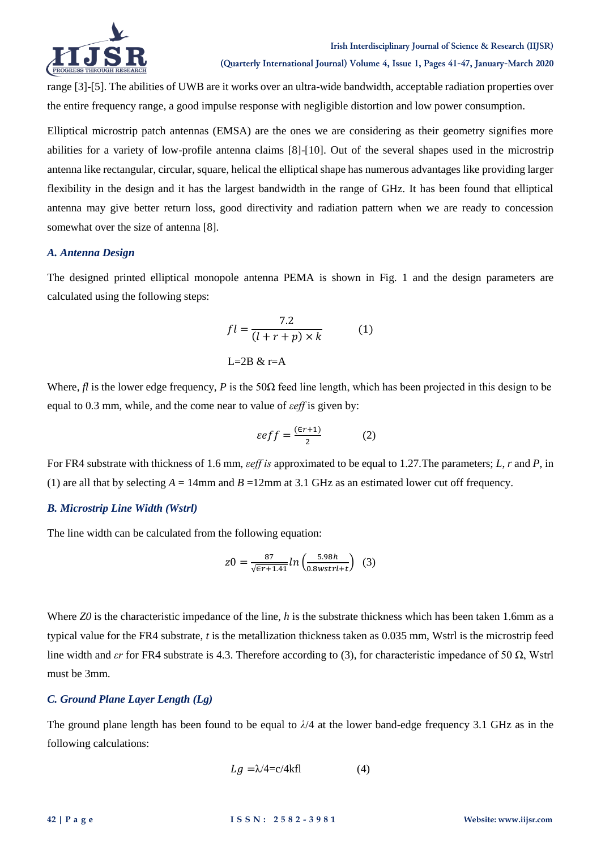

**(Quarterly International Journal) Volume 4, Issue 1, Pages 41-47, January-March 2020**

range [3]-[5]. The abilities of UWB are it works over an ultra-wide bandwidth, acceptable radiation properties over the entire frequency range, a good impulse response with negligible distortion and low power consumption.

Elliptical microstrip patch antennas (EMSA) are the ones we are considering as their geometry signifies more abilities for a variety of low-profile antenna claims [8]-[10]. Out of the several shapes used in the microstrip antenna like rectangular, circular, square, helical the elliptical shape has numerous advantages like providing larger flexibility in the design and it has the largest bandwidth in the range of GHz. It has been found that elliptical antenna may give better return loss, good directivity and radiation pattern when we are ready to concession somewhat over the size of antenna [8].

## *A. Antenna Design*

The designed printed elliptical monopole antenna PEMA is shown in Fig. 1 and the design parameters are calculated using the following steps:

$$
fl = \frac{7.2}{(l+r+p)\times k} \tag{1}
$$

$$
L=2B \& r=A
$$

Where,  $f\ell$  is the lower edge frequency,  $P$  is the 50 $\Omega$  feed line length, which has been projected in this design to be equal to 0.3 mm, while*,* and the come near to value of *εeff* is given by:

$$
\varepsilon e f f = \frac{(\varepsilon r + 1)}{2} \tag{2}
$$

For FR4 substrate with thickness of 1.6 mm, *εeff is* approximated to be equal to 1.27*.*The parameters; *L*, *r* and *P*, in (1) are all that by selecting  $A = 14$ mm and  $B = 12$ mm at 3.1 GHz as an estimated lower cut off frequency.

## *B. Microstrip Line Width (Wstrl)*

The line width can be calculated from the following equation:

$$
z0 = \frac{87}{\sqrt{\epsilon r + 1.41}} \ln \left( \frac{5.98h}{0.8wstrl + t} \right) \tag{3}
$$

Where *Z0* is the characteristic impedance of the line, *h* is the substrate thickness which has been taken 1.6mm as a typical value for the FR4 substrate, *t* is the metallization thickness taken as 0.035 mm, Wstrl is the microstrip feed line width and *εr* for FR4 substrate is 4.3. Therefore according to (3), for characteristic impedance of 50 Ω, Wstrl must be 3mm.

## *C. Ground Plane Layer Length (Lg)*

The ground plane length has been found to be equal to *λ*/4 at the lower band-edge frequency 3.1 GHz as in the following calculations:

$$
Lg = \lambda/4 = c/4kfl \tag{4}
$$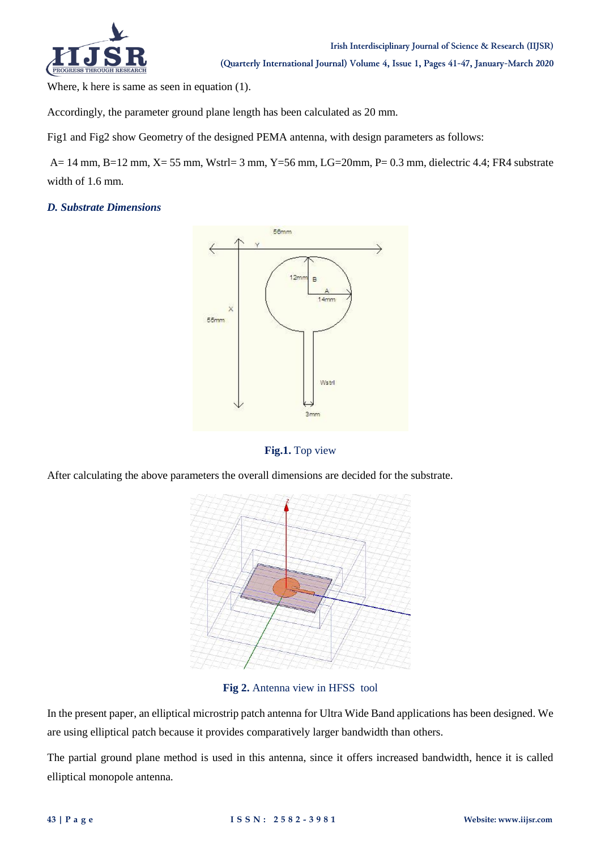

Where, k here is same as seen in equation (1).

Accordingly, the parameter ground plane length has been calculated as 20 mm.

Fig1 and Fig2 show Geometry of the designed PEMA antenna, with design parameters as follows:

A= 14 mm, B=12 mm, X= 55 mm, Wstrl= 3 mm, Y=56 mm, LG=20mm, P= 0.3 mm, dielectric 4.4; FR4 substrate width of 1.6 mm.

# *D. Substrate Dimensions*



## **Fig.1.** Top view

After calculating the above parameters the overall dimensions are decided for the substrate.



**Fig 2.** Antenna view in HFSS tool

In the present paper, an elliptical microstrip patch antenna for Ultra Wide Band applications has been designed. We are using elliptical patch because it provides comparatively larger bandwidth than others.

The partial ground plane method is used in this antenna, since it offers increased bandwidth, hence it is called elliptical monopole antenna.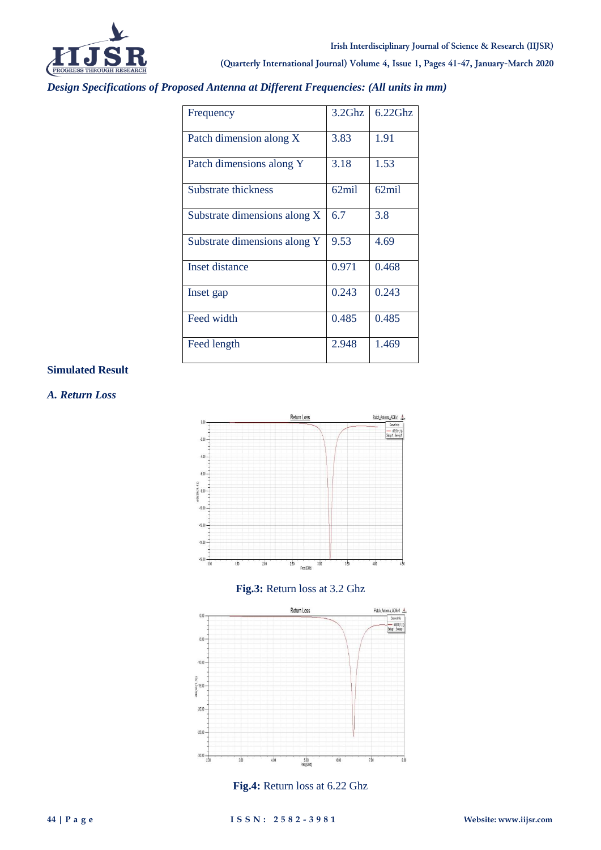

**(Quarterly International Journal) Volume 4, Issue 1, Pages 41-47, January-March 2020**

*Design Specifications of Proposed Antenna at Different Frequencies: (All units in mm)*

| Frequency                    | 3.2Ghz | 6.22Ghz |
|------------------------------|--------|---------|
| Patch dimension along X      | 3.83   | 1.91    |
| Patch dimensions along Y     | 3.18   | 1.53    |
| Substrate thickness          | 62mil  | 62mil   |
| Substrate dimensions along X | 6.7    | 3.8     |
| Substrate dimensions along Y | 9.53   | 4.69    |
| Inset distance               | 0.971  | 0.468   |
| Inset gap                    | 0.243  | 0.243   |
| Feed width                   | 0.485  | 0.485   |
| Feed length                  | 2.948  | 1.469   |

# **Simulated Result**

*A. Return Loss*







**Fig.4:** Return loss at 6.22 Ghz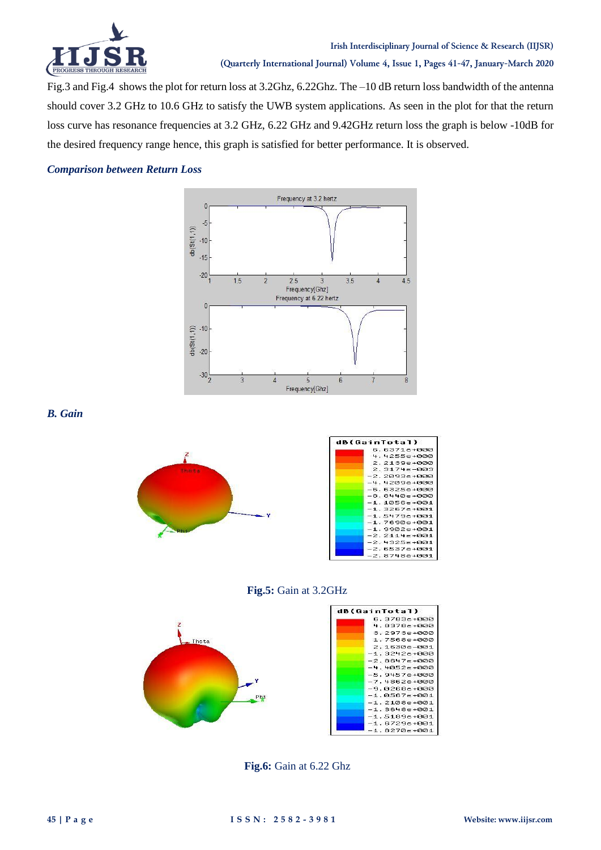

Fig.3 and Fig.4 shows the plot for return loss at 3.2Ghz, 6.22Ghz. The –10 dB return loss bandwidth of the antenna should cover 3.2 GHz to 10.6 GHz to satisfy the UWB system applications. As seen in the plot for that the return loss curve has resonance frequencies at 3.2 GHz, 6.22 GHz and 9.42GHz return loss the graph is below -10dB for the desired frequency range hence, this graph is satisfied for better performance. It is observed.

# *Comparison between Return Loss*



*B. Gain* 



| dB(GainTotal) |                  |
|---------------|------------------|
|               | 6.6371е+000      |
|               | 4.4255е+000      |
|               | 2.2139е+000      |
|               | 2.3174e-003      |
|               | -2.2093е+000     |
|               | -4.4209е+000     |
|               | -6.6325е+000     |
|               | -8.8440е+000     |
|               | $-1.1056e + 001$ |
|               | $-1.3267e + 001$ |
|               | $-1.5479e + 001$ |
|               | $-1.7690e + 001$ |
|               | $-1.9902e + 001$ |
|               | $-2.2114e + 001$ |
|               | $-2.4325e + 001$ |
|               | $-2.6537e + 001$ |
|               | $-2.8748e + 001$ |

## **Fig.5:** Gain at 3.2GHz



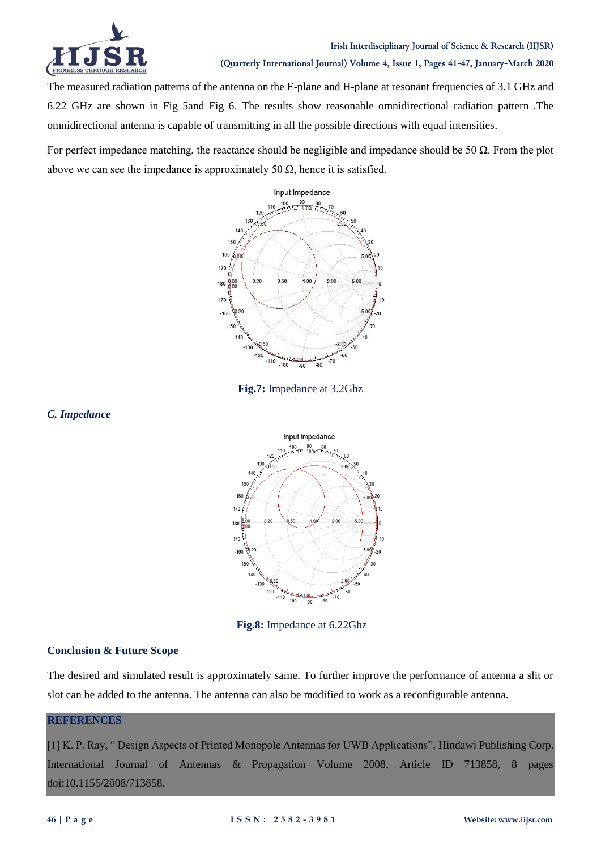

# **Irish Interdisciplinary Journal of Science & Research (IIJSR) (Quarterly International Journal) Volume 4, Issue 1, Pages 41-47, January-March 2020**

The measured radiation patterns of the antenna on the E-plane and H-plane at resonant frequencies of 3.1 GHz and 6.22 GHz are shown in Fig 5and Fig 6. The results show reasonable omnidirectional radiation pattern .The omnidirectional antenna is capable of transmitting in all the possible directions with equal intensities.

For perfect impedance matching, the reactance should be negligible and impedance should be 50  $\Omega$ . From the plot above we can see the impedance is approximately 50  $\Omega$ , hence it is satisfied.





*C. Impedance*



**Fig.8:** Impedance at 6.22Ghz

# **Conclusion & Future Scope**

The desired and simulated result is approximately same. To further improve the performance of antenna a slit or slot can be added to the antenna. The antenna can also be modified to work as a reconfigurable antenna.

## **REFERENCES**

[1] K. P. Ray, " Design Aspects of Printed Monopole Antennas for UWB Applications", Hindawi Publishing Corp. International Journal of Antennas & Propagation Volume 2008, Article ID 713858, 8 pages doi:10.1155/2008/713858.